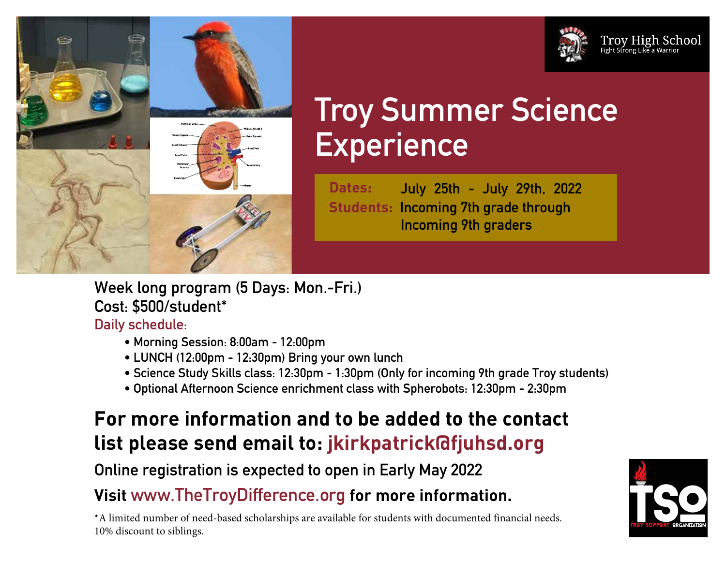



# **Troy Summer Science Experience**

**Dates: July 25th - July 29th, 2022 Students: Incoming 7th grade through Incoming 9th graders**

**Week long program (5 Days: Mon.-Fri.) Cost: \$500/student\***

### **Daily schedule:**

- **• Morning Session: 8:00am 12:00pm**
- **• LUNCH (12:00pm 12:30pm) Bring your own lunch**
- **• Science Study Skills class: 12:30pm 1:30pm (Only for incoming 9th grade Troy students)**
- **• Optional Afternoon Science enrichment class with Spherobots: 12:30pm 2:30pm**

# **For more information and to be added to the contact list please send email to: jkirkpatrick@fjuhsd.org**

**Online registration is expected to open in Early May 2022**

# **Visit www.TheTroyDifference.org for more information.**

\*A limited number of need-based scholarships are available for students with documented financial needs. 10% discount to siblings.